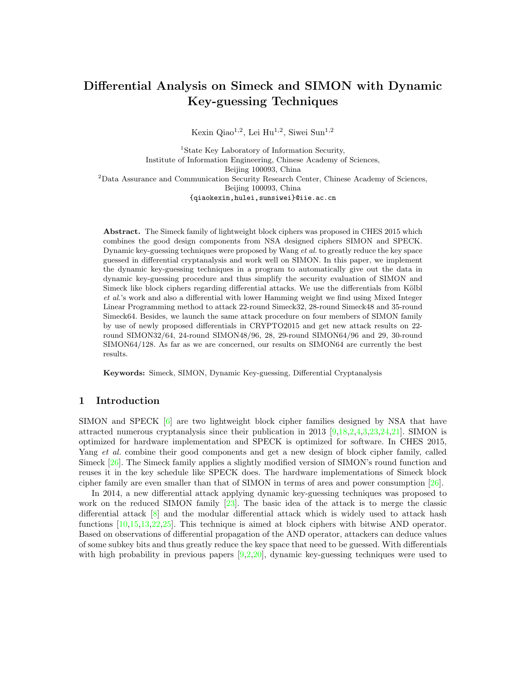## Differential Analysis on Simeck and SIMON with Dynamic Key-guessing Techniques

Kexin Qiao<sup>1,2</sup>, Lei Hu<sup>1,2</sup>, Siwei Sun<sup>1,2</sup>

<sup>1</sup>State Key Laboratory of Information Security, Institute of Information Engineering, Chinese Academy of Sciences, Beijing 100093, China <sup>2</sup>Data Assurance and Communication Security Research Center, Chinese Academy of Sciences, Beijing 100093, China {qiaokexin,hulei,sunsiwei}@iie.ac.cn

Abstract. The Simeck family of lightweight block ciphers was proposed in CHES 2015 which combines the good design components from NSA designed ciphers SIMON and SPECK. Dynamic key-guessing techniques were proposed by Wang et al. to greatly reduce the key space guessed in differential cryptanalysis and work well on SIMON. In this paper, we implement the dynamic key-guessing techniques in a program to automatically give out the data in dynamic key-guessing procedure and thus simplify the security evaluation of SIMON and Simeck like block ciphers regarding differential attacks. We use the differentials from Kölbl et al.'s work and also a differential with lower Hamming weight we find using Mixed Integer Linear Programming method to attack 22-round Simeck32, 28-round Simeck48 and 35-round Simeck64. Besides, we launch the same attack procedure on four members of SIMON family by use of newly proposed differentials in CRYPTO2015 and get new attack results on 22 round SIMON32/64, 24-round SIMON48/96, 28, 29-round SIMON64/96 and 29, 30-round SIMON64/128. As far as we are concerned, our results on SIMON64 are currently the best results.

Keywords: Simeck, SIMON, Dynamic Key-guessing, Differential Cryptanalysis

#### 1 Introduction

SIMON and SPECK [\[6\]](#page-14-0) are two lightweight block cipher families designed by NSA that have attracted numerous cryptanalysis since their publication in 2013 [\[9,](#page-14-1)[18,](#page-15-0)[2,](#page-14-2)[4,](#page-14-3)[3,](#page-14-4)[23,](#page-15-1)[24,](#page-15-2)[21\]](#page-15-3). SIMON is optimized for hardware implementation and SPECK is optimized for software. In CHES 2015, Yang et al. combine their good components and get a new design of block cipher family, called Simeck [\[26\]](#page-15-4). The Simeck family applies a slightly modified version of SIMON's round function and reuses it in the key schedule like SPECK does. The hardware implementations of Simeck block cipher family are even smaller than that of SIMON in terms of area and power consumption [\[26\]](#page-15-4).

In 2014, a new differential attack applying dynamic key-guessing techniques was proposed to work on the reduced SIMON family [\[23\]](#page-15-1). The basic idea of the attack is to merge the classic differential attack [\[8\]](#page-14-5) and the modular differential attack which is widely used to attack hash functions [\[10](#page-14-6)[,15](#page-15-5)[,13,](#page-14-7)[22,](#page-15-6)[25\]](#page-15-7). This technique is aimed at block ciphers with bitwise AND operator. Based on observations of differential propagation of the AND operator, attackers can deduce values of some subkey bits and thus greatly reduce the key space that need to be guessed. With differentials with high probability in previous papers  $[9,2,20]$  $[9,2,20]$  $[9,2,20]$ , dynamic key-guessing techniques were used to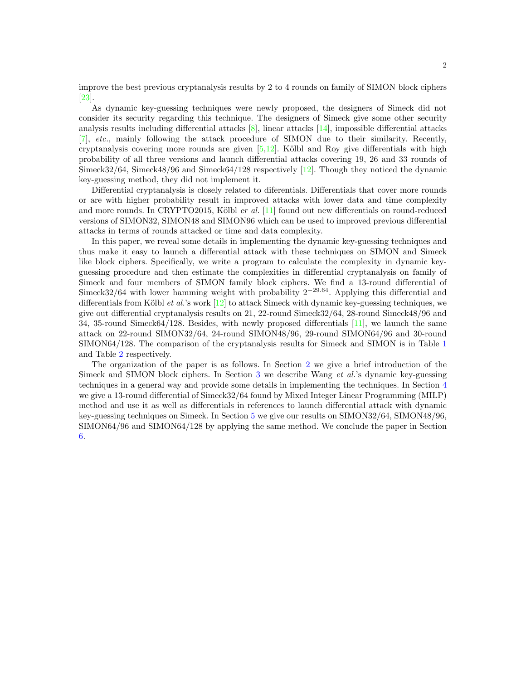improve the best previous cryptanalysis results by 2 to 4 rounds on family of SIMON block ciphers [\[23\]](#page-15-1).

As dynamic key-guessing techniques were newly proposed, the designers of Simeck did not consider its security regarding this technique. The designers of Simeck give some other security analysis results including differential attacks  $[8]$ , linear attacks  $[14]$ , impossible differential attacks [\[7\]](#page-14-9), etc., mainly following the attack procedure of SIMON due to their similarity. Recently, cryptanalysis covering more rounds are given  $[5,12]$  $[5,12]$ . Kölbl and Roy give differentials with high probability of all three versions and launch differential attacks covering 19, 26 and 33 rounds of Simeck32/64, Simeck48/96 and Simeck64/128 respectively [\[12\]](#page-14-11). Though they noticed the dynamic key-guessing method, they did not implement it.

Differential cryptanalysis is closely related to diferentials. Differentials that cover more rounds or are with higher probability result in improved attacks with lower data and time complexity and more rounds. In CRYPTO2015, Kölbl *er al.* [\[11\]](#page-14-12) found out new differentials on round-reduced versions of SIMON32, SIMON48 and SIMON96 which can be used to improved previous differential attacks in terms of rounds attacked or time and data complexity.

In this paper, we reveal some details in implementing the dynamic key-guessing techniques and thus make it easy to launch a differential attack with these techniques on SIMON and Simeck like block ciphers. Specifically, we write a program to calculate the complexity in dynamic keyguessing procedure and then estimate the complexities in differential cryptanalysis on family of Simeck and four members of SIMON family block ciphers. We find a 13-round differential of Simeck32/64 with lower hamming weight with probability  $2^{-29.64}$ . Applying this differential and differentials from Kölbl *et al.*'s work  $[12]$  to attack Simeck with dynamic key-guessing techniques, we give out differential cryptanalysis results on 21, 22-round Simeck32/64, 28-round Simeck48/96 and 34, 35-round Simeck64/128. Besides, with newly proposed differentials [\[11\]](#page-14-12), we launch the same attack on 22-round SIMON32/64, 24-round SIMON48/96, 29-round SIMON64/96 and 30-round SIMON64/128. The comparison of the cryptanalysis results for Simeck and SIMON is in Table [1](#page-2-0) and Table [2](#page-3-0) respectively.

The organization of the paper is as follows. In Section [2](#page-2-1) we give a brief introduction of the Simeck and SIMON block ciphers. In Section [3](#page-4-0) we describe Wang et al.'s dynamic key-guessing techniques in a general way and provide some details in implementing the techniques. In Section [4](#page-9-0) we give a 13-round differential of Simeck32/64 found by Mixed Integer Linear Programming (MILP) method and use it as well as differentials in references to launch differential attack with dynamic key-guessing techniques on Simeck. In Section [5](#page-12-0) we give our results on SIMON32/64, SIMON48/96, SIMON64/96 and SIMON64/128 by applying the same method. We conclude the paper in Section [6.](#page-13-0)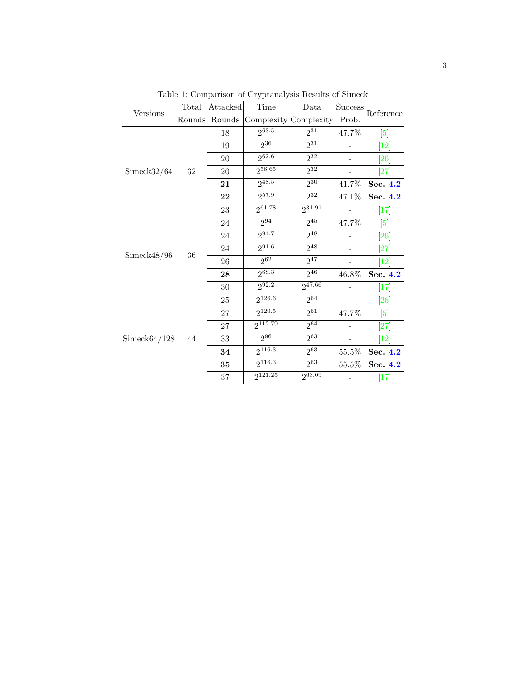<span id="page-2-1"></span><span id="page-2-0"></span>

|                | Total  | Attacked | Time         | Data                  | <b>Success</b>    |                   |
|----------------|--------|----------|--------------|-----------------------|-------------------|-------------------|
| Versions       | Rounds | Rounds   |              | Complexity Complexity | Prob.             | Reference         |
|                |        | 18       | $2^{63.5}$   | $2^{31}$              | 47.7%             | [5]               |
|                |        | 19       | $2^{36}$     | $2^{31}$              |                   | $\left[12\right]$ |
|                |        | 20       | 262.6        | $2^{32}$              |                   | [26]              |
| Simeck32/64    | $32\,$ | $20\,$   | 256.65       | $2^{32}$              |                   | $[27]$            |
|                |        | 21       | $2^{48.5}$   | $2^{30}$              | 41.7%             | Sec. 4.2          |
|                |        | 22       | $2^{57.9}$   | $2^{32}$              | 47.1%             | Sec. 4.2          |
|                |        | 23       | $2^{61.78}$  | $2^{31.91}$           |                   | $\left[17\right]$ |
|                | 36     | 24       | $2^{94}$     | $2^{45}$              | $47.7\%$          | $\left[ 5\right]$ |
|                |        | 24       | 294.7        | $2^{48}$              |                   | [26]              |
| Simeck48/96    |        | 24       | $2^{91.6}$   | $2^{48}$              |                   | [27]              |
|                |        | 26       | $2^{62}$     | $2^{47}$              | $\qquad \qquad -$ | $[12]$            |
|                |        | 28       | $2^{68.3}$   | $2^{46}$              | 46.8%             | Sec. 4.2          |
|                |        | 30       | $2^{92.2}$   | 247.66                |                   | $[17]$            |
|                |        | $25\,$   | $2^{126.6}$  | $2^{64}$              |                   | [26]              |
|                |        | 27       | $2^{120.5}$  | $2^{61}$              | 47.7%             | [5]               |
|                |        | 27       | 9112.79      | $2^{64}$              |                   | $[27]$            |
| Simpleck64/128 | 44     | $33\,$   | $2^{96}$     | $2^{63}$              |                   | $[12]$            |
|                |        | 34       | $2^{116.3}$  | $2^{63}$              | $55.5\%$          | Sec. 4.2          |
|                |        | 35       | $2^{116.3}$  | $2^{63}$              | 55.5%             | Sec. 4.2          |
|                |        | 37       | $2^{121.25}$ | $2^{63.09}$           |                   | $[17]$            |

Table 1: Comparison of Cryptanalysis Results of Simeck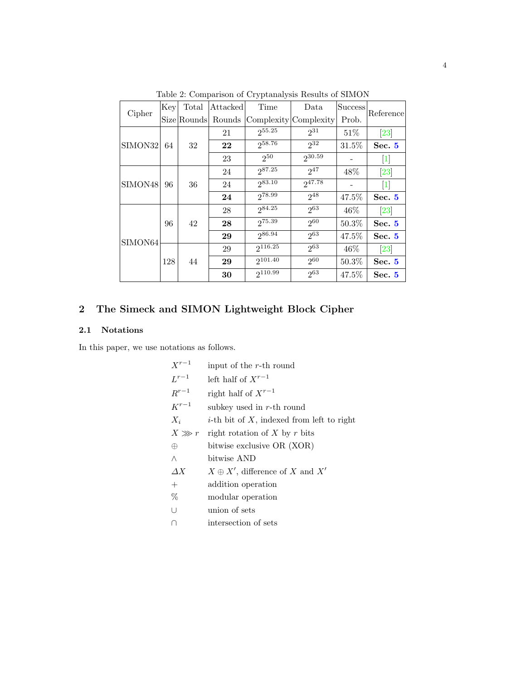<span id="page-3-0"></span>

| Cipher  | Key | Total       | Attacked | Time                  | Data     | Success | Reference          |  |
|---------|-----|-------------|----------|-----------------------|----------|---------|--------------------|--|
|         |     | Size Rounds | Rounds   | Complexity Complexity |          | Prob.   |                    |  |
|         |     |             | 21       | 255.25                | $2^{31}$ | 51\%    | $\left[23\right]$  |  |
| SIMON32 | 64  | 32          | 22       | 258.76                | $2^{32}$ | 31.5%   | Sec. 5             |  |
|         |     |             | 23       | 250                   | 230.59   |         | 1                  |  |
|         |     |             | 24       | 287.25                | 247      | 48%     | $\left[ 23\right]$ |  |
| SIMON48 | 96  | 36          | 24       | 283.10                | 247.78   |         |                    |  |
|         |     |             | 24       | $2^{78.99}$           | $2^{48}$ | 47.5%   | Sec.5              |  |
|         | 96  |             | 28       | 284.25                | $2^{63}$ | 46\%    | $\left[23\right]$  |  |
|         |     | 42          | 28       | 275.39                | $2^{60}$ | 50.3%   | Sec. 5             |  |
| SIMON64 |     |             | 29       | 286.94                | $2^{63}$ | 47.5%   | Sec. $5$           |  |
|         |     |             | 29       | 2116.25               | 263      | 46%     | $\left[23\right]$  |  |
|         | 128 | 44          | 29       | 9101.40               | 260      | 50.3%   | Sec. 5             |  |
|         |     |             | 30       | 2110.99               | $2^{63}$ | 47.5%   | Sec. $5$           |  |

Table 2: Comparison of Cryptanalysis Results of SIMON

# 2 The Simeck and SIMON Lightweight Block Cipher

## 2.1 Notations

In this paper, we use notations as follows.

| $X^{r-1}$  | input of the r-th round                              |
|------------|------------------------------------------------------|
| $L^{r-1}$  | left half of $X^{r-1}$                               |
| $R^{r-1}$  | right half of $X^{r-1}$                              |
| $K^{r-1}$  | subkey used in $r$ -th round                         |
| $X_i$      | <i>i</i> -th bit of $X$ , indexed from left to right |
| $X \gg r$  | right rotation of X by r bits                        |
| $\oplus$   | bitwise exclusive OR (XOR)                           |
| Λ          | bitwise AND                                          |
| $\Delta X$ | $X \oplus X'$ , difference of X and X'               |
| $^{+}$     | addition operation                                   |
| %          | modular operation                                    |
| U          | union of sets                                        |
| П          | intersection of sets                                 |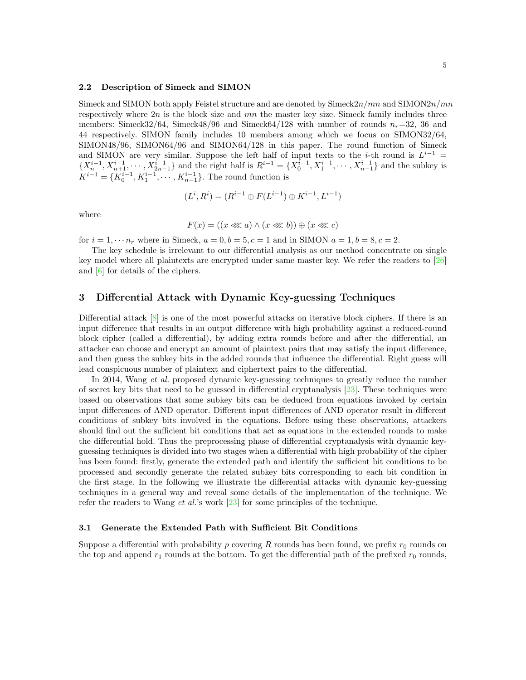#### 2.2 Description of Simeck and SIMON

Simeck and SIMON both apply Feistel structure and are denoted by  $\text{Simeck}2n/mn$  and  $\text{SIMON}2n/mn$ respectively where  $2n$  is the block size and  $mn$  the master key size. Simeck family includes three members: Simeck32/64, Simeck48/96 and Simeck64/128 with number of rounds  $n_r=32$ , 36 and 44 respectively. SIMON family includes 10 members among which we focus on SIMON32/64, SIMON48/96, SIMON64/96 and SIMON64/128 in this paper. The round function of Simeck and SIMON are very similar. Suppose the left half of input texts to the *i*-th round is  $L^{i-1}$  =  $\{X_n^{i-1}, X_{n+1}^{i-1}, \cdots, X_{2n-1}^{i-1}\}$  and the right half is  $R^{i-1} = \{X_0^{i-1}, X_1^{i-1}, \cdots, X_{n-1}^{i-1}\}$  and the subkey is  $K^{i-1} = \{K_0^{i-1}, K_1^{i-1}, \cdots, K_{n-1}^{i-1}\}.$  The round function is

$$
(L^i, R^i) = (R^{i-1} \oplus F(L^{i-1}) \oplus K^{i-1}, L^{i-1})
$$

where

$$
F(x) = ((x \lll a) \land (x \lll b)) \oplus (x \lll c)
$$

for  $i = 1, \dots n_r$  where in Simeck,  $a = 0, b = 5, c = 1$  and in SIMON  $a = 1, b = 8, c = 2$ .

The key schedule is irrelevant to our differential analysis as our method concentrate on single key model where all plaintexts are encrypted under same master key. We refer the readers to [\[26\]](#page-15-4) and [\[6\]](#page-14-0) for details of the ciphers.

#### <span id="page-4-0"></span>3 Differential Attack with Dynamic Key-guessing Techniques

Differential attack  $[8]$  is one of the most powerful attacks on iterative block ciphers. If there is an input difference that results in an output difference with high probability against a reduced-round block cipher (called a differential), by adding extra rounds before and after the differential, an attacker can choose and encrypt an amount of plaintext pairs that may satisfy the input difference, and then guess the subkey bits in the added rounds that influence the differential. Right guess will lead conspicuous number of plaintext and ciphertext pairs to the differential.

In 2014, Wang *et al.* proposed dynamic key-guessing techniques to greatly reduce the number of secret key bits that need to be guessed in differential cryptanalysis [\[23\]](#page-15-1). These techniques were based on observations that some subkey bits can be deduced from equations invoked by certain input differences of AND operator. Different input differences of AND operator result in different conditions of subkey bits involved in the equations. Before using these observations, attackers should find out the sufficient bit conditions that act as equations in the extended rounds to make the differential hold. Thus the preprocessing phase of differential cryptanalysis with dynamic keyguessing techniques is divided into two stages when a differential with high probability of the cipher has been found: firstly, generate the extended path and identify the sufficient bit conditions to be processed and secondly generate the related subkey bits corresponding to each bit condition in the first stage. In the following we illustrate the differential attacks with dynamic key-guessing techniques in a general way and reveal some details of the implementation of the technique. We refer the readers to Wang *et al.*'s work [\[23\]](#page-15-1) for some principles of the technique.

#### 3.1 Generate the Extended Path with Sufficient Bit Conditions

Suppose a differential with probability p covering R rounds has been found, we prefix  $r_0$  rounds on the top and append  $r_1$  rounds at the bottom. To get the differential path of the prefixed  $r_0$  rounds,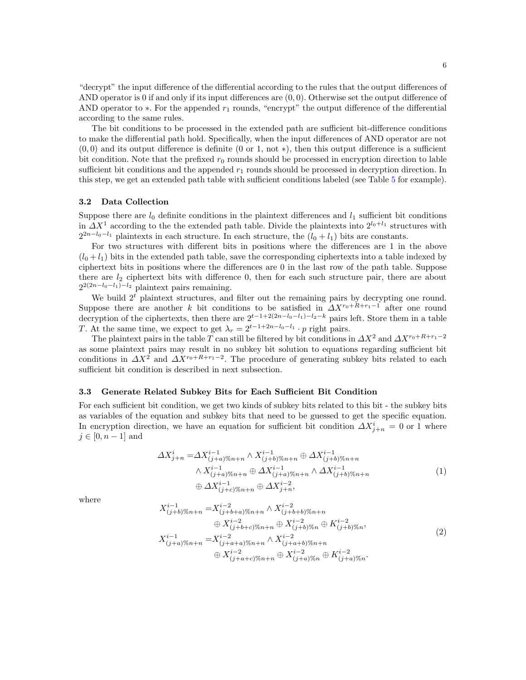"decrypt" the input difference of the differential according to the rules that the output differences of AND operator is 0 if and only if its input differences are  $(0, 0)$ . Otherwise set the output difference of AND operator to  $\ast$ . For the appended  $r_1$  rounds, "encrypt" the output difference of the differential according to the same rules.

The bit conditions to be processed in the extended path are sufficient bit-difference conditions to make the differential path hold. Specifically, when the input differences of AND operator are not  $(0,0)$  and its output difference is definite  $(0 \text{ or } 1, \text{ not } *)$ , then this output difference is a sufficient bit condition. Note that the prefixed  $r_0$  rounds should be processed in encryption direction to lable sufficient bit conditions and the appended  $r_1$  rounds should be processed in decryption direction. In this step, we get an extended path table with sufficient conditions labeled (see Table [5](#page-10-0) for example).

#### 3.2 Data Collection

Suppose there are  $l_0$  definite conditions in the plaintext differences and  $l_1$  sufficient bit conditions in  $\Delta X^1$  according to the the extended path table. Divide the plaintexts into  $2^{l_0+l_1}$  structures with  $2^{2n-l_0-l_1}$  plaintexts in each structure. In each structure, the  $(l_0 + l_1)$  bits are constants.

For two structures with different bits in positions where the differences are 1 in the above  $(l_0 + l_1)$  bits in the extended path table, save the corresponding ciphertexts into a table indexed by ciphertext bits in positions where the differences are 0 in the last row of the path table. Suppose there are  $l_2$  ciphertext bits with difference 0, then for each such structure pair, there are about  $2^{2(2n-l_0-l_1)-l_2}$  plaintext pairs remaining.

We build  $2<sup>t</sup>$  plaintext structures, and filter out the remaining pairs by decrypting one round. Suppose there are another k bit conditions to be satisfied in  $\Delta X^{r_0+R+r_1-1}$  after one round decryption of the ciphertexts, then there are  $2^{t-1+2(2n-l_0-l_1)-l_2-k}$  pairs left. Store them in a table T. At the same time, we expect to get  $\lambda_r = 2^{t-1+2n-l_0-l_1} \cdot p$  right pairs.

The plaintext pairs in the table T can still be filtered by bit conditions in  $\Delta X^2$  and  $\Delta X^{r_0+R+r_1-2}$ as some plaintext pairs may result in no subkey bit solution to equations regarding sufficient bit conditions in  $\Delta X^2$  and  $\Delta X^{r_0+R+r_1-2}$ . The procedure of generating subkey bits related to each sufficient bit condition is described in next subsection.

#### 3.3 Generate Related Subkey Bits for Each Sufficient Bit Condition

For each sufficient bit condition, we get two kinds of subkey bits related to this bit - the subkey bits as variables of the equation and subkey bits that need to be guessed to get the specific equation. In encryption direction, we have an equation for sufficient bit condition  $\Delta X^i_{j+n} = 0$  or 1 where  $j \in [0, n - 1]$  and

$$
\Delta X_{j+n}^{i} = \Delta X_{(j+a)\%n+n}^{i-1} \wedge X_{(j+b)\%n+n}^{i-1} \oplus \Delta X_{(j+b)\%n+n}^{i-1}
$$
  
 
$$
\wedge X_{(j+a)\%n+n}^{i-1} \oplus \Delta X_{(j+a)\%n+n}^{i-1} \wedge \Delta X_{(j+b)\%n+n}^{i-1}
$$
  
\n
$$
\oplus \Delta X_{(j+c)\%n+n}^{i-1} \oplus \Delta X_{j+n}^{i-2},
$$
\n(1)

where

$$
X_{(j+b)\%n+n}^{i-1} = X_{(j+b+a)\%n+n}^{i-2} \wedge X_{(j+b+b)\%n+n}^{i-2} \n\oplus X_{(j+b+c)\%n+n}^{i-2} \oplus X_{(j+b)c}\%n}^{i-2} \oplus K_{(j+b)\%n}^{i-2},
$$
\n
$$
X_{(j+a)\%n+n}^{i-1} = X_{(j+a+a)\%n+n}^{i-2} \wedge X_{(j+a+b)\%n+n}^{i-2} \n\oplus X_{(j+a+c)\%n+n}^{i-2} \oplus K_{(j+a)\%n}^{i-2} \oplus K_{(j+a)\%n}^{i-2}.
$$
\n(2)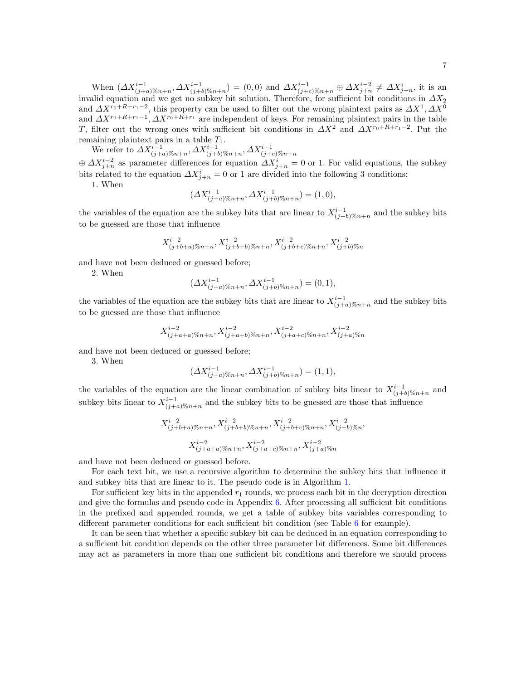When  $(\Delta X^{i-1}_{(j+a)\%n+n}, \Delta X^{i-1}_{(j+b)\%n+n}) = (0,0)$  and  $\Delta X^{i-1}_{(j+c)\%n+n} \oplus \Delta X^{i-2}_{j+n} \neq \Delta X^{i}_{j+n}$ , it is an invalid equation and we get no subkey bit solution. Therefore, for sufficient bit conditions in  $\Delta X_2$ and  $\Delta X^{r_0+R+r_1-2}$ , this property can be used to filter out the wrong plaintext pairs as  $\Delta X^1, \Delta X^0$ and  $\Delta X^{r_0+R+r_1-1}$ ,  $\Delta X^{r_0+R+r_1}$  are independent of keys. For remaining plaintext pairs in the table T, filter out the wrong ones with sufficient bit conditions in  $\Delta X^2$  and  $\Delta X^{r_0+R+r_1-2}$ . Put the remaining plaintext pairs in a table  $T_1$ .

We refer to  $\Delta X_{(j+a)\%n+n}^{i-1}$ ,  $\Delta X_{(j+b)\%n+n}^{i-1}$ ,  $\Delta X_{(j+c)\%n+n}^{i-1}$ <br>  $\oplus \Delta X_{j+n}^{i-2}$  as parameter differences for equation  $\Delta X_{j+n}^{i} = 0$  or 1. For valid equations, the subkey

bits related to the equation  $\Delta X_{j+n}^i = 0$  or 1 are divided into the following 3 conditions:

1. When

$$
(\Delta X_{(j+a)\%n+n}^{i-1}, \Delta X_{(j+b)\%n+n}^{i-1}) = (1,0),
$$

the variables of the equation are the subkey bits that are linear to  $X^{i-1}_{(j+b)\%n+n}$  and the subkey bits to be guessed are those that influence

$$
X^{i-2}_{(j+b+a)\%n+n}, X^{i-2}_{(j+b+b)\%n+n}, X^{i-2}_{(j+b+c)\%n+n}, X^{i-2}_{(j+b)\%n}
$$

and have not been deduced or guessed before;

2. When

$$
(\Delta X_{(j+a)\%n+n}^{i-1}, \Delta X_{(j+b)\%n+n}^{i-1}) = (0,1),
$$

the variables of the equation are the subkey bits that are linear to  $X^{i-1}_{(j+a)\%n+n}$  and the subkey bits to be guessed are those that influence

$$
X^{i-2}_{(j+a+a)\%n+n}, X^{i-2}_{(j+a+b)\%n+n}, X^{i-2}_{(j+a+c)\%n+n}, X^{i-2}_{(j+a)\%n}
$$

and have not been deduced or guessed before;

3. When

$$
(\Delta X^{i-1}_{(j+a)\%n+n}, \Delta X^{i-1}_{(j+b)\%n+n}) = (1,1),
$$

the variables of the equation are the linear combination of subkey bits linear to  $X^{i-1}_{(j+b)\%n+n}$  and subkey bits linear to  $X^{i-1}_{(j+a)\%n+n}$  and the subkey bits to be guessed are those that influence

$$
X^{i-2}_{(j+b+a)\%n+n}, X^{i-2}_{(j+b+b)\%n+n}, X^{i-2}_{(j+b+c)\%n+n}, X^{i-2}_{(j+b)\%n},
$$
  

$$
X^{i-2}_{(j+a+a)\%n+n}, X^{i-2}_{(j+a+c)\%n+n}, X^{i-2}_{(j+a)\%n}
$$

and have not been deduced or guessed before.

For each text bit, we use a recursive algorithm to determine the subkey bits that influence it and subkey bits that are linear to it. The pseudo code is in Algorithm [1.](#page-7-0)

For sufficient key bits in the appended  $r_1$  rounds, we process each bit in the decryption direction and give the formulas and pseudo code in Appendix  $6$ . After processing all sufficient bit conditions in the prefixed and appended rounds, we get a table of subkey bits variables corresponding to different parameter conditions for each sufficient bit condition (see Table [6](#page-11-0) for example).

It can be seen that whether a specific subkey bit can be deduced in an equation corresponding to a sufficient bit condition depends on the other three parameter bit differences. Some bit differences may act as parameters in more than one sufficient bit conditions and therefore we should process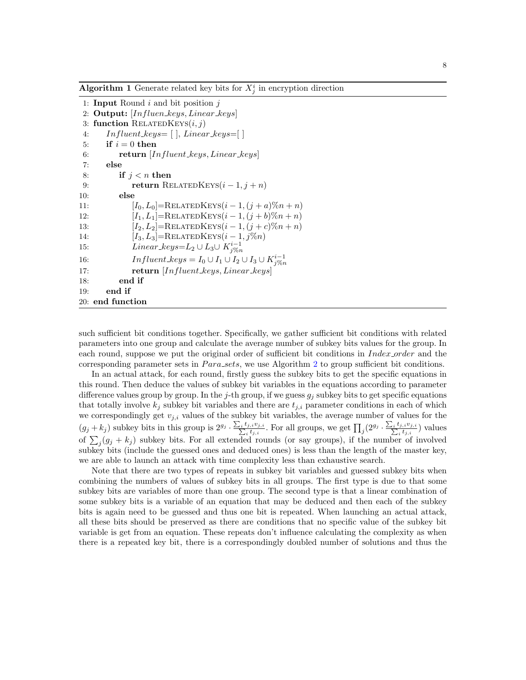<span id="page-7-0"></span>**Algorithm 1** Generate related key bits for  $X_j^i$  in encryption direction

```
1: Input Round i and bit position j2: Output: [Influen\_keys, Linear\_keys]3: function RELATEDKEYS(i, j)4: In fluent\_keys = [ ], Linear\_keys = [ ]5: if i = 0 then
6: return [Influent\_keys, Linear\_keys]7: else
8: if j < n then
9: return RELATEDKEYS(i-1, j+n)10: else
11: [I_0, L_0] = \text{RELATEDKEYS}(i - 1, (j + a)\%n + n)12: [I_1, L_1] = \text{RELATEDKEYS}(i - 1, (j + b)\%n + n)13: [I_2, L_2] = \text{RELATEDKEYS}(i - 1, (j + c)\%n + n)14: [I_3, L_3] = \text{RELATEDKEYS}(i - 1, j\%)15: Linear_keys=L<sub>2</sub> ∪ L<sub>3</sub>∪ K_{j\%n}^{i-1}16: Influent\_keys = I_0 \cup I_1 \cup I_2 \cup I_3 \cup K_{j\%n}^{i-1}17: return [Influent_keys, Linear_keys]
18: end if
19: end if
20: end function
```
such sufficient bit conditions together. Specifically, we gather sufficient bit conditions with related parameters into one group and calculate the average number of subkey bits values for the group. In each round, suppose we put the original order of sufficient bit conditions in Index order and the corresponding parameter sets in *Para\_sets*, we use Algorithm [2](#page-8-0) to group sufficient bit conditions.

In an actual attack, for each round, firstly guess the subkey bits to get the specific equations in this round. Then deduce the values of subkey bit variables in the equations according to parameter difference values group by group. In the j-th group, if we guess  $g_j$  subkey bits to get specific equations that totally involve  $k_j$  subkey bit variables and there are  $t_{j,i}$  parameter conditions in each of which we correspondingly get  $v_{i,i}$  values of the subkey bit variables, the average number of values for the  $(g_j + k_j)$  subkey bits in this group is  $2^{g_j} \cdot \frac{\sum_i t_{j,i}v_{j,i}}{\sum_i t_{j,i}}$ . For all groups, we get  $\prod_j (2^{g_j} \cdot \frac{\sum_i t_{j,i}v_{j,i}}{\sum_i t_{j,i}})$  values of  $\sum_{j}(g_j + k_j)$  subkey bits. For all extended rounds (or say groups), if the number of involved subkey bits (include the guessed ones and deduced ones) is less than the length of the master key, we are able to launch an attack with time complexity less than exhaustive search.

Note that there are two types of repeats in subkey bit variables and guessed subkey bits when combining the numbers of values of subkey bits in all groups. The first type is due to that some subkey bits are variables of more than one group. The second type is that a linear combination of some subkey bits is a variable of an equation that may be deduced and then each of the subkey bits is again need to be guessed and thus one bit is repeated. When launching an actual attack, all these bits should be preserved as there are conditions that no specific value of the subkey bit variable is get from an equation. These repeats don't influence calculating the complexity as when there is a repeated key bit, there is a correspondingly doubled number of solutions and thus the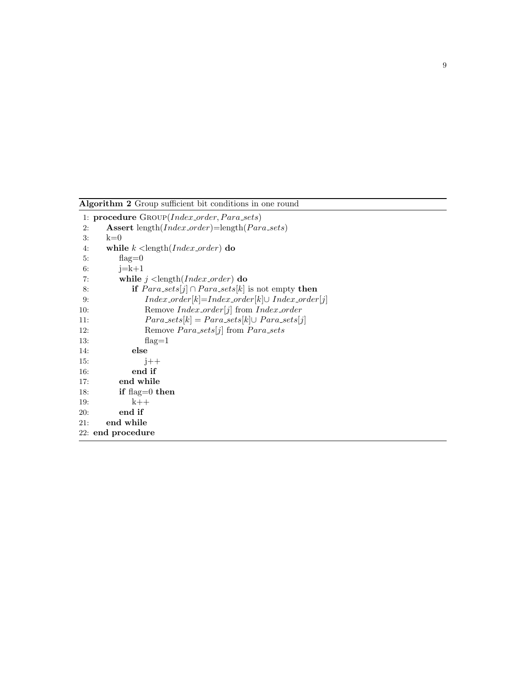<span id="page-8-0"></span>Algorithm 2 Group sufficient bit conditions in one round 1: procedure GROUP(Index\_order, Para\_sets) 2: Assert length( $Index\_order$ )=length( $Para\_sets$ ) 3: k=0 4: while  $k$  < length(*Index\_order*) do  $5:$  flag=0 6:  $j=k+1$ 7: while  $j$  < length  $(Index-order)$  do 8: if  $Para\_sets[j] \cap Para\_sets[k]$  is not empty then 9: *Index\_order*[k]=*Index\_order*[k]∪ *Index\_order*[j] 10: Remove *Index\_order*[*j*] from *Index\_order* 11:  $Para\_sets[k] = Para\_sets[k] \cup Para\_sets[j]$ 12: Remove  $Para\_sets[j]$  from  $Para\_sets$ 13: flag=1 14: else 15:  $j++$ 16: end if 17: end while 18: **if** flag=0 **then** 19: k++ 20: end if 21: end while 22: end procedure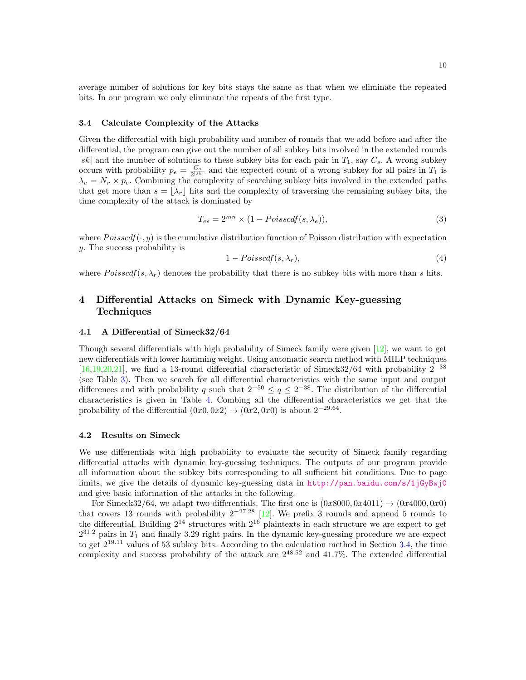average number of solutions for key bits stays the same as that when we eliminate the repeated bits. In our program we only eliminate the repeats of the first type.

#### <span id="page-9-2"></span>3.4 Calculate Complexity of the Attacks

Given the differential with high probability and number of rounds that we add before and after the differential, the program can give out the number of all subkey bits involved in the extended rounds  $|sk|$  and the number of solutions to these subkey bits for each pair in  $T_1$ , say  $C_s$ . A wrong subkey occurs with probability  $p_e = \frac{C_s}{2^{|sk|}}$  and the expected count of a wrong subkey for all pairs in  $T_1$  is  $\lambda_e = N_r \times p_e$ . Combining the complexity of searching subkey bits involved in the extended paths that get more than  $s = |\lambda_r|$  hits and the complexity of traversing the remaining subkey bits, the time complexity of the attack is dominated by

$$
T_{es} = 2^{mn} \times (1 - Poisscdf(s, \lambda_e)),
$$
\n(3)

where  $Poisscdf(\cdot, y)$  is the cumulative distribution function of Poisson distribution with expectation y. The success probability is

$$
1 - Poisscdf(s, \lambda_r), \tag{4}
$$

where  $Poisscdf(s, \lambda_r)$  denotes the probability that there is no subkey bits with more than s hits.

## <span id="page-9-0"></span>4 Differential Attacks on Simeck with Dynamic Key-guessing Techniques

#### <span id="page-9-3"></span>4.1 A Differential of Simeck32/64

Though several differentials with high probability of Simeck family were given  $[12]$ , we want to get new differentials with lower hamming weight. Using automatic search method with MILP techniques [\[16,](#page-15-11)[19](#page-15-12)[,20,](#page-15-8)[21\]](#page-15-3), we find a 13-round differential characteristic of Simeck32/64 with probability  $2^{-38}$ (see Table [3\)](#page-10-1). Then we search for all differential characteristics with the same input and output differences and with probability q such that  $2^{-50} \le q \le 2^{-38}$ . The distribution of the differential characteristics is given in Table [4.](#page-10-2) Combing all the differential characteristics we get that the probability of the differential  $(0x0, 0x2) \rightarrow (0x2, 0x0)$  is about  $2^{-29.64}$ .

#### <span id="page-9-1"></span>4.2 Results on Simeck

We use differentials with high probability to evaluate the security of Simeck family regarding differential attacks with dynamic key-guessing techniques. The outputs of our program provide all information about the subkey bits corresponding to all sufficient bit conditions. Due to page limits, we give the details of dynamic key-guessing data in <http://pan.baidu.com/s/1jGyBwj0> and give basic information of the attacks in the following.

For Simeck32/64, we adapt two differentials. The first one is  $(0x8000, 0x4011) \rightarrow (0x4000, 0x0)$ that covers 13 rounds with probability  $2^{-27.28}$  [\[12\]](#page-14-11). We prefix 3 rounds and append 5 rounds to the differential. Building  $2^{14}$  structures with  $2^{16}$  plaintexts in each structure we are expect to get  $2^{31.2}$  pairs in  $T_1$  and finally 3.29 right pairs. In the dynamic key-guessing procedure we are expect to get  $2^{19.11}$  values of 53 subkey bits. According to the calculation method in Section [3.4,](#page-9-2) the time complexity and success probability of the attack are  $2^{48.52}$  and 41.7%. The extended differential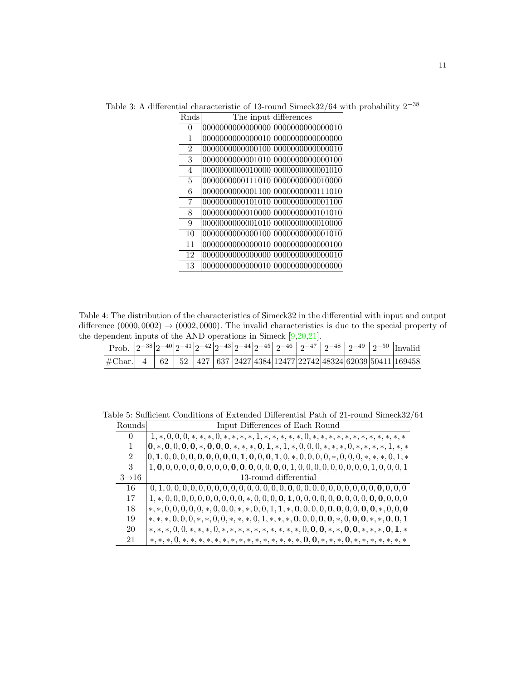| Rnds           | The input differences              |
|----------------|------------------------------------|
| 0              |                                    |
| 1              | 0000000000000010 00000000000000000 |
| $\mathfrak{D}$ | 0000000000000100 00000000000000010 |
| 3              | 0000000000001010 00000000000000100 |
| $\overline{4}$ | 0000000000010000 00000000000001010 |
| 5              | 0000000000111010 0000000000010000  |
| 6              | 0000000000001100 0000000000111010  |
| 7              | 0000000000101010 0000000000001100  |
| 8              | 0000000000010000 00000000000101010 |
| 9              | 0000000000001010 00000000000010000 |
| 10             | 0000000000000100 00000000000001010 |
| 11             | 0000000000000010 00000000000000100 |
| 12             | 0000000000000000 00000000000000010 |
| 13             | 0000000000000010_00000000000000000 |

<span id="page-10-1"></span>Table 3: A differential characteristic of 13-round Simeck32/64 with probability  $2^{{\rm -}38}$ 

<span id="page-10-2"></span>Table 4: The distribution of the characteristics of Simeck32 in the differential with input and output difference  $(0000, 0002) \rightarrow (0002, 0000)$ . The invalid characteristics is due to the special property of the dependent inputs of the AND operations in Simeck [\[9,](#page-14-1)[20,](#page-15-8)[21\]](#page-15-3).

|                                                                                                                                                                      |  |  |  |  |  |  | Prob. $\left 2^{-38}\right 2^{-40}\left 2^{-41}\right 2^{-42}\left 2^{-43}\right 2^{-44}\left 2^{-45}\right 2^{-46}\left 2^{-47}\right 2^{-48}\left 2^{-49}\right 2^{-50}$ Invalid |
|----------------------------------------------------------------------------------------------------------------------------------------------------------------------|--|--|--|--|--|--|------------------------------------------------------------------------------------------------------------------------------------------------------------------------------------|
| $\#$ Char. $\mid$ 4 $\mid$ 62 $\mid$ 52 $\mid$ 427 $\mid$ 637 $\mid$ 2427 $\mid$ 4384 $\mid$ 12477 $\mid$ 22742 $\mid$ 48324 $\mid$ 62039 $\mid$ 50411 $\mid$ 169458 |  |  |  |  |  |  |                                                                                                                                                                                    |

<span id="page-10-0"></span>Table 5: Sufficient Conditions of Extended Differential Path of 21-round Simeck32/64

| Rounds            | Input Differences of Each Round                                                                      |
|-------------------|------------------------------------------------------------------------------------------------------|
| 0                 | $1,*,0,0,0,*,*,*,0,*,*,*,1,*,*,*,*,*,0,*,*,*,*,*,*,*,*,*,*,*,*,$                                     |
| 1                 |                                                                                                      |
| $\overline{2}$    | $[0, 1, 0, 0, 0, 0, 0, 0, 0, 0, 0, 1, 0, 0, 0, 1, 0, *, 0, 0, 0, 0, *, 0, 0, 0, 0, *, *, *, 0, 1, *$ |
| 3                 |                                                                                                      |
| $3\rightarrow 16$ | 13-round differential                                                                                |
| 16                |                                                                                                      |
| 17                |                                                                                                      |
| 18                |                                                                                                      |
| 19                |                                                                                                      |
| 20                | $*,*,*,0,0,*,*,*,0,*,*,*,*,*,*,*,*,*,*,0,0,0,*,*,0,0,*,*,*,0,1,*$                                    |
| 21                |                                                                                                      |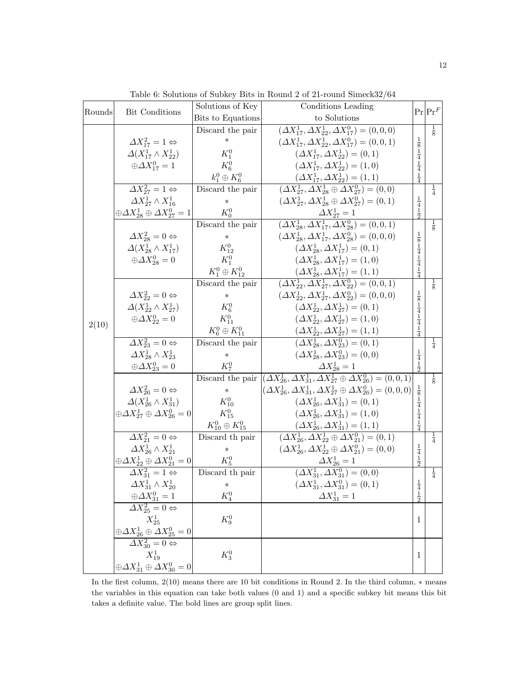<span id="page-11-0"></span>

|        |                                                                                                                | Solutions of Key           | Conditions Leading                                                                                        |                                           | $Pr Pr^F$     |
|--------|----------------------------------------------------------------------------------------------------------------|----------------------------|-----------------------------------------------------------------------------------------------------------|-------------------------------------------|---------------|
| Rounds | Bit Conditions                                                                                                 | Bits to Equations          | to Solutions                                                                                              |                                           |               |
|        |                                                                                                                | Discard the pair           | $(\Delta X_{17}^1, \Delta X_{22}^1, \Delta X_{17}^0) = (0, 0, 0)$                                         |                                           | $\frac{1}{8}$ |
|        | $\Delta X_{17}^2 = 1 \Leftrightarrow$                                                                          | $\ast$                     | $(\Delta X_{17}^1, \Delta X_{22}^1, \Delta X_{17}^0) = (0, 0, 1)$                                         |                                           |               |
|        | $\Delta(X_{17}^1 \wedge X_{22}^1)$                                                                             | $K_1^0$                    | $(\Delta X_{17}^1, \Delta X_{22}^1) = (0, 1)$                                                             | $\frac{1}{8}$ $\frac{1}{4}$               |               |
|        | $\oplus \Delta X_{17}^0 = 1$                                                                                   | $K_6^0$                    | $(\Delta X_{17}^1, \Delta X_{22}^1) = (1,0)$                                                              |                                           |               |
|        |                                                                                                                | $k_1^0\oplus K_6^0$        | $(\Delta X_{17}^1, \Delta X_{22}^1) = (1, 1)$                                                             | $\frac{1}{4}$ $\frac{1}{4}$               |               |
|        | $\Delta X_{27}^2 = 1 \Leftrightarrow$                                                                          | Discard the pair           | $(\Delta X_{27}^1, \Delta X_{28}^1 \oplus \Delta X_{27}^0) = (0,0)$                                       |                                           | $\frac{1}{4}$ |
|        | $\Delta X_{27}^1 \wedge X_{16}^1$                                                                              | $\ast$                     | $(\Delta X_{27}^1, \Delta X_{28}^1 \oplus \Delta X_{27}^0) = (0,1)$                                       |                                           |               |
|        | $\oplus \varDelta X^1_{28} \oplus \varDelta X^0_{27} = 1$                                                      | $K_0^0$                    | $\Delta X_{27}^1 = 1$                                                                                     | $\frac{1}{4}$ $\frac{1}{2}$               |               |
|        |                                                                                                                | Discard the pair           | $(\Delta X_{28}^1, \Delta X_{17}^1, \Delta X_{28}^0) = (0, 0, 1)$                                         |                                           | $\frac{1}{8}$ |
|        | $\Delta X_{28}^2=0 \Leftrightarrow$                                                                            | $\ast$                     | $(\Delta X_{28}^1, \Delta X_{17}^1, \Delta X_{28}^0) = (0,0,0)$                                           |                                           |               |
|        | $\Delta(X_{28}^1 \wedge X_{17}^1)$                                                                             | $K_{12}^0$                 | $(\Delta X_{28}^1, \Delta X_{17}^1) = (0,1)$                                                              | $\frac{1}{8}$ $\frac{1}{4}$               |               |
|        | $\oplus \Delta X_{28}^0=0$                                                                                     | $K_1^0$                    | $(\Delta X_{28}^1, \Delta X_{17}^1) = (1,0)$                                                              | $\frac{1}{4}$                             |               |
|        |                                                                                                                | $K_1^0 \oplus K_{12}^0$    | $(\Delta X_{28}^1, \Delta X_{17}^1) = (1,1)$                                                              | $\frac{1}{4}$                             |               |
|        |                                                                                                                | Discard the pair           | $(\Delta X_{22}^1, \Delta X_{27}^1, \Delta X_{22}^0) = (0, 0, 1)$                                         |                                           | $\frac{1}{8}$ |
|        | $\Delta X_{22}^2 = 0 \Leftrightarrow$                                                                          | $\ast$                     | $(\Delta X_{22}^1, \Delta X_{27}^1, \Delta X_{22}^0) = (0, 0, 0)$                                         |                                           |               |
|        | $\Delta(X_{22}^1 \wedge X_{27}^1)$                                                                             | $K_6^0$                    | $(\Delta X_{22}^1, \Delta X_{27}^1) = (0,1)$                                                              | $\frac{1}{8}$ $\frac{1}{4}$ $\frac{1}{4}$ |               |
| 2(10)  | $\oplus \Delta X_{22}^0=0$                                                                                     | $K_{11}^0$                 | $(\Delta X_{22}^1, \Delta X_{27}^1) = (1,0)$                                                              |                                           |               |
|        |                                                                                                                | $K_6^0 \oplus K_{11}^0$    | $(\Delta X_{22}^1, \Delta X_{27}^1) = (1, 1)$                                                             | $\frac{1}{4}$                             |               |
|        | $\Delta X_{23}^2=0 \Leftrightarrow$                                                                            | Discard the pair           | $(\overline{\Delta}X_{28}^1, \Delta X_{23}^0) = (0,1)$                                                    |                                           | $\frac{1}{4}$ |
|        | $\Delta X_{28}^1 \wedge X_{23}^1$                                                                              | ∗                          | $(\Delta X_{28}^1, \Delta X_{23}^0) = (0,0)$                                                              | $\frac{1}{4}$                             |               |
|        | $\oplus \Delta X^0_{23} = 0$                                                                                   | $K_7^0$                    | $\Delta X_{28}^1 = 1$                                                                                     | $\frac{1}{2}$                             |               |
|        |                                                                                                                |                            | Discard the pair $(\Delta X_{26}^1, \Delta X_{31}^1, \Delta X_{27}^1 \oplus \Delta X_{26}^0) = (0, 0, 1)$ |                                           | $\frac{1}{8}$ |
|        | $\Delta X_{26}^2=0 \Leftrightarrow$                                                                            | $\ast$                     | $(\Delta X_{26}^1, \Delta X_{31}^1, \Delta X_{27}^1 \oplus \Delta X_{26}^0) = (0, 0, 0)$                  | $\frac{1}{8}$                             |               |
|        | $\Delta(X_{26}^1 \wedge X_{31}^1)$                                                                             | $K_{10}^0$                 | $(\Delta X_{26}^1, \Delta X_{31}^1) = (0,1)$                                                              | $\frac{1}{4}$                             |               |
|        | $\oplus \Delta X_{27}^1 \oplus \Delta X_{26}^0 = 0$                                                            | $K_{15}^0$                 | $(\Delta X_{26}^1, \Delta X_{31}^1) = (1,0)$                                                              | $\frac{1}{4}$                             |               |
|        |                                                                                                                | $K_{10}^0 \oplus K_{15}^0$ | $(\Delta X_{26}^1, \Delta X_{31}^1) = (1,1)$                                                              | $\frac{1}{4}$                             |               |
|        | $\Delta X_{21}^2 = 0 \Leftrightarrow$                                                                          | Discard th pair            | $(\Delta X_{26}^1, \Delta X_{22}^1 \oplus \Delta X_{21}^0) = (0,1)$                                       |                                           | $\frac{1}{4}$ |
|        | $\Delta X_{26}^1 \wedge X_{21}^1$                                                                              | $\ast$                     | $(\Delta X_{26}^1, \Delta X_{22}^1 \oplus \Delta X_{21}^0) = (0,0)$                                       | $\frac{1}{4}$<br>$\frac{1}{2}$            |               |
|        | $\oplus \varDelta X^{1}_{22} \oplus \varDelta X^{0}_{21} = 0$                                                  | $K_5^0$                    | $\Delta X_{26}^1 = 1$                                                                                     |                                           |               |
|        | $\Delta X_{31}^2 = 1 \Leftrightarrow$                                                                          | Discard th pair            | $(\overline{\Delta X^1_{31}}, \Delta X^0_{31}) = (0,0)$                                                   |                                           | $\frac{1}{4}$ |
|        | $\varDelta X^1_{31}\wedge X^1_{20}$                                                                            | ∗                          | $(\Delta X_{31}^1, \Delta X_{31}^0) = (0, 1)$                                                             | $\frac{1}{4}$ $\frac{1}{2}$               |               |
|        | $\oplus \varDelta X^0_{31} = 1$                                                                                | $K_4^0$                    | $\Delta X_{31}^1 = 1$                                                                                     |                                           |               |
|        | $\overline{\Delta X_{25}^2} = 0 \Leftrightarrow$                                                               |                            |                                                                                                           |                                           |               |
|        | $X_{25}^1$                                                                                                     | $K_9^0$                    |                                                                                                           | 1                                         |               |
|        | $\frac{\oplus \varDelta X^{1}_{26} \oplus \varDelta X^{0}_{25} = 0}{\varDelta X^{2}_{30} = 0 \Leftrightarrow}$ |                            |                                                                                                           |                                           |               |
|        |                                                                                                                |                            |                                                                                                           |                                           |               |
|        | $X_{19}^1$                                                                                                     | $K^0_3$                    |                                                                                                           | 1                                         |               |
|        | $\oplus \varDelta X^{1}_{31} \oplus \varDelta X^{0}_{30} = 0$                                                  |                            |                                                                                                           |                                           |               |

Table 6: Solutions of Subkey Bits in Round 2 of 21-round Simeck32/64

In the first column, 2(10) means there are 10 bit conditions in Round 2. In the third column, ∗ means the variables in this equation can take both values (0 and 1) and a specific subkey bit means this bit takes a definite value. The bold lines are group split lines.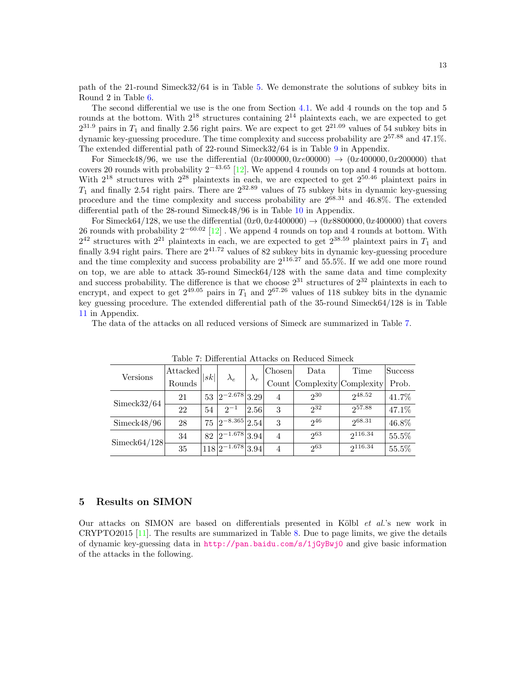path of the 21-round Simeck32/64 is in Table [5.](#page-10-0) We demonstrate the solutions of subkey bits in Round 2 in Table [6.](#page-11-0)

The second differential we use is the one from Section [4.1.](#page-9-3) We add 4 rounds on the top and 5 rounds at the bottom. With  $2^{18}$  structures containing  $2^{14}$  plaintexts each, we are expected to get  $2^{31.9}$  pairs in  $T_1$  and finally 2.56 right pairs. We are expect to get  $2^{21.09}$  values of 54 subkey bits in dynamic key-guessing procedure. The time complexity and success probability are 257.<sup>88</sup> and 47.1%. The extended differential path of 22-round Simeck32/64 is in Table [9](#page-17-0) in Appendix.

For Simeck48/96, we use the differential  $(0x400000, 0xe00000) \rightarrow (0x400000, 0x200000)$  that covers 20 rounds with probability  $2^{-43.65}$  [\[12\]](#page-14-11). We append 4 rounds on top and 4 rounds at bottom. With  $2^{18}$  structures with  $2^{28}$  plaintexts in each, we are expected to get  $2^{50.46}$  plaintext pairs in  $T_1$  and finally 2.54 right pairs. There are  $2^{32.89}$  values of 75 subkey bits in dynamic key-guessing procedure and the time complexity and success probability are  $2^{68.31}$  and  $46.8\%$ . The extended differential path of the 28-round Simeck48/96 is in Table [10](#page-17-1) in Appendix.

For Simeck64/128, we use the differential  $(0x0, 0x4400000) \rightarrow (0x8800000, 0x400000)$  that covers 26 rounds with probability  $2^{-60.02}$  [\[12\]](#page-14-11). We append 4 rounds on top and 4 rounds at bottom. With  $2^{42}$  structures with  $2^{21}$  plaintexts in each, we are expected to get  $2^{38.59}$  plaintext pairs in  $T_1$  and finally 3.94 right pairs. There are  $2^{41.72}$  values of 82 subkey bits in dynamic key-guessing procedure and the time complexity and success probability are  $2^{116.27}$  and 55.5%. If we add one more round on top, we are able to attack 35-round Simeck64/128 with the same data and time complexity and success probability. The difference is that we choose  $2^{31}$  structures of  $2^{32}$  plaintexts in each to encrypt, and expect to get  $2^{49.05}$  pairs in  $T_1$  and  $2^{67.26}$  values of 118 subkey bits in the dynamic key guessing procedure. The extended differential path of the 35-round Simeck64/128 is in Table [11](#page-17-2) in Appendix.

<span id="page-12-1"></span>The data of the attacks on all reduced versions of Simeck are summarized in Table [7.](#page-12-1)

|                 | Attacked | sk     |                        |             | Chosen         | Data                        | Time    | <b>Success</b> |
|-----------------|----------|--------|------------------------|-------------|----------------|-----------------------------|---------|----------------|
| Versions        | Rounds   |        | $\lambda_e$            | $\lambda_r$ |                | Count Complexity Complexity |         | Prob.          |
| Simeck32/64     | 21       | $53-1$ | $ 2^{-2.678} 3.29 $    |             | 4              | $2^{30}$                    | 248.52  | 41.7%          |
|                 | 22       | 54     | $2^{-1}$               | 2.56        | 3              | $2^{32}$                    | 257.88  | 47.1\%         |
| Simeck48/96     | 28       | 75     | $ 2^{-8.365} 2.54 $    |             | 3              | $2^{46}$                    | 268.31  | 46.8%          |
| Simeck $64/128$ | 34       | 82     | $\sqrt{2}$ -1.678 3.94 |             | 4              | $2^{63}$                    | 2116.34 | 55.5%          |
|                 | 35       |        | $118 2^{-1.678} 3.94 $ |             | $\overline{4}$ | 263                         | 2116.34 | 55.5%          |
|                 |          |        |                        |             |                |                             |         |                |

Table 7: Differential Attacks on Reduced Simeck

#### <span id="page-12-0"></span>5 Results on SIMON

Our attacks on SIMON are based on differentials presented in Kölbl  $et \ al.^{'}s$  new work in CRYPTO2015 [\[11\]](#page-14-12). The results are summarized in Table [8.](#page-13-1) Due to page limits, we give the details of dynamic key-guessing data in <http://pan.baidu.com/s/1jGyBwj0> and give basic information of the attacks in the following.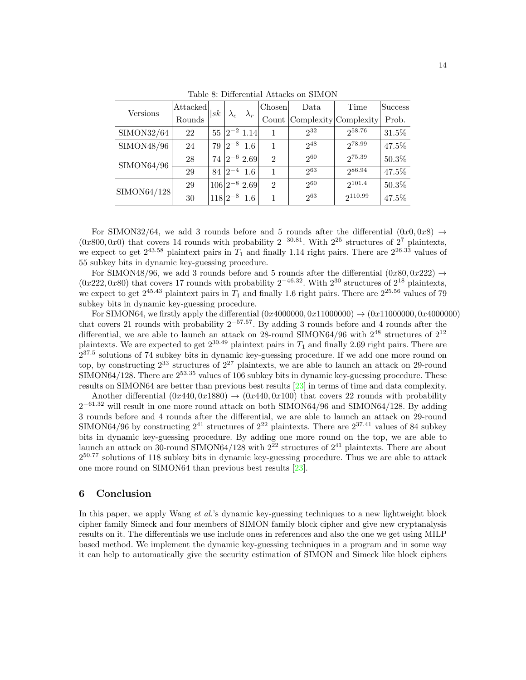<span id="page-13-1"></span>

|             | Attacked | sk |                | $\lambda_r$        | Chosen         | Data                        | Time    | Success |
|-------------|----------|----|----------------|--------------------|----------------|-----------------------------|---------|---------|
| Versions    | Rounds   |    | $\lambda_e$    |                    |                | Count Complexity Complexity |         | Prob.   |
| SIMON32/64  | 22       | 55 |                | $ 2^{-2} 1.14 $    |                | $2^{32}$                    | 258.76  | 31.5%   |
| SIMON48/96  | 24       | 79 | $ 2^{-8} $     | 1.6                | 1              | $2^{48}$                    | 278.99  | 47.5%   |
| SIMON64/96  | 28       | 74 |                | $ 2^{-6} 2.69 $    | $\overline{2}$ | 260                         | 275.39  | 50.3%   |
|             | 29       | 84 |                | $ 2^{-4} $ 1.6     | 1              | 263                         | 286.94  | 47.5%   |
| SIMON64/128 | 29       |    |                | $106 2^{-8} 2.69 $ | $\mathfrak{D}$ | 260                         | 2101.4  | 50.3%   |
|             | 30       |    | $ 118 2^{-8} $ | 1.6                |                | $2^{63}$                    | 2110.99 | 47.5%   |

Table 8: Differential Attacks on SIMON

For SIMON32/64, we add 3 rounds before and 5 rounds after the differential  $(0x0, 0x8) \rightarrow$  $(0x800, 0x0)$  that covers 14 rounds with probability  $2^{-30.81}$ . With  $2^{25}$  structures of  $2^7$  plaintexts, we expect to get  $2^{43.58}$  plaintext pairs in  $T_1$  and finally 1.14 right pairs. There are  $2^{26.33}$  values of 55 subkey bits in dynamic key-guessing procedure.

For SIMON48/96, we add 3 rounds before and 5 rounds after the differential  $(0x80, 0x222) \rightarrow$  $(0x222, 0x80)$  that covers 17 rounds with probability 2<sup>-46.32</sup>. With 2<sup>30</sup> structures of 2<sup>18</sup> plaintexts, we expect to get  $2^{45.43}$  plaintext pairs in  $T_1$  and finally 1.6 right pairs. There are  $2^{25.56}$  values of 79 subkey bits in dynamic key-guessing procedure.

For SIMON64, we firstly apply the differential  $(0x4000000, 0x11000000) \rightarrow (0x11000000, 0x4000000)$ that covers 21 rounds with probability 2<sup>−</sup>57.57. By adding 3 rounds before and 4 rounds after the differential, we are able to launch an attack on 28-round SIMON64/96 with  $2^{48}$  structures of  $2^{12}$ plaintexts. We are expected to get  $2^{30.49}$  plaintext pairs in  $T_1$  and finally 2.69 right pairs. There are  $2^{37.5}$  solutions of 74 subkey bits in dynamic key-guessing procedure. If we add one more round on top, by constructing  $2^{33}$  structures of  $2^{27}$  plaintexts, we are able to launch an attack on 29-round SIMON64/128. There are  $2^{53.35}$  values of 106 subkey bits in dynamic key-guessing procedure. These results on SIMON64 are better than previous best results [\[23\]](#page-15-1) in terms of time and data complexity.

Another differential  $(0x440, 0x1880) \rightarrow (0x440, 0x100)$  that covers 22 rounds with probability  $2^{-61.32}$  will result in one more round attack on both SIMON64/96 and SIMON64/128. By adding 3 rounds before and 4 rounds after the differential, we are able to launch an attack on 29-round SIMON64/96 by constructing  $2^{41}$  structures of  $2^{22}$  plaintexts. There are  $2^{37.41}$  values of 84 subkey bits in dynamic key-guessing procedure. By adding one more round on the top, we are able to launch an attack on 30-round SIMON64/128 with  $2^{22}$  structures of  $2^{41}$  plaintexts. There are about  $2^{50.77}$  solutions of 118 subkey bits in dynamic key-guessing procedure. Thus we are able to attack one more round on SIMON64 than previous best results [\[23\]](#page-15-1).

#### <span id="page-13-0"></span>6 Conclusion

In this paper, we apply Wang *et al.*'s dynamic key-guessing techniques to a new lightweight block cipher family Simeck and four members of SIMON family block cipher and give new cryptanalysis results on it. The differentials we use include ones in references and also the one we get using MILP based method. We implement the dynamic key-guessing techniques in a program and in some way it can help to automatically give the security estimation of SIMON and Simeck like block ciphers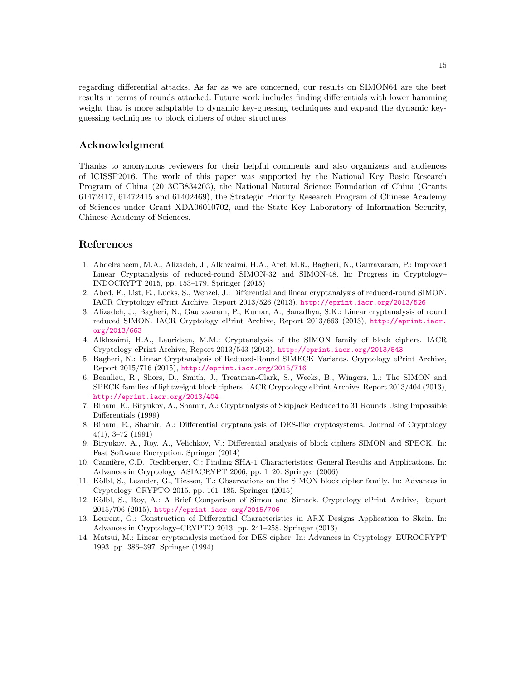regarding differential attacks. As far as we are concerned, our results on SIMON64 are the best results in terms of rounds attacked. Future work includes finding differentials with lower hamming weight that is more adaptable to dynamic key-guessing techniques and expand the dynamic keyguessing techniques to block ciphers of other structures.

#### Acknowledgment

Thanks to anonymous reviewers for their helpful comments and also organizers and audiences of ICISSP2016. The work of this paper was supported by the National Key Basic Research Program of China (2013CB834203), the National Natural Science Foundation of China (Grants 61472417, 61472415 and 61402469), the Strategic Priority Research Program of Chinese Academy of Sciences under Grant XDA06010702, and the State Key Laboratory of Information Security, Chinese Academy of Sciences.

#### References

- <span id="page-14-13"></span>1. Abdelraheem, M.A., Alizadeh, J., Alkhzaimi, H.A., Aref, M.R., Bagheri, N., Gauravaram, P.: Improved Linear Cryptanalysis of reduced-round SIMON-32 and SIMON-48. In: Progress in Cryptology– INDOCRYPT 2015, pp. 153–179. Springer (2015)
- <span id="page-14-2"></span>2. Abed, F., List, E., Lucks, S., Wenzel, J.: Differential and linear cryptanalysis of reduced-round SIMON. IACR Cryptology ePrint Archive, Report 2013/526 (2013), <http://eprint.iacr.org/2013/526>
- <span id="page-14-4"></span>3. Alizadeh, J., Bagheri, N., Gauravaram, P., Kumar, A., Sanadhya, S.K.: Linear cryptanalysis of round reduced SIMON. IACR Cryptology ePrint Archive, Report 2013/663 (2013), [http://eprint.iacr.](http://eprint.iacr.org/2013/663) [org/2013/663](http://eprint.iacr.org/2013/663)
- <span id="page-14-3"></span>4. Alkhzaimi, H.A., Lauridsen, M.M.: Cryptanalysis of the SIMON family of block ciphers. IACR Cryptology ePrint Archive, Report 2013/543 (2013), [http://eprint.iacr.org/2013/543](http://eprint. iacr. org/2013/543)
- <span id="page-14-10"></span>5. Bagheri, N.: Linear Cryptanalysis of Reduced-Round SIMECK Variants. Cryptology ePrint Archive, Report 2015/716 (2015), <http://eprint.iacr.org/2015/716>
- <span id="page-14-0"></span>6. Beaulieu, R., Shors, D., Smith, J., Treatman-Clark, S., Weeks, B., Wingers, L.: The SIMON and SPECK families of lightweight block ciphers. IACR Cryptology ePrint Archive, Report 2013/404 (2013), <http://eprint.iacr.org/2013/404>
- <span id="page-14-9"></span>7. Biham, E., Biryukov, A., Shamir, A.: Cryptanalysis of Skipjack Reduced to 31 Rounds Using Impossible Differentials (1999)
- <span id="page-14-5"></span>8. Biham, E., Shamir, A.: Differential cryptanalysis of DES-like cryptosystems. Journal of Cryptology 4(1), 3–72 (1991)
- <span id="page-14-1"></span>9. Biryukov, A., Roy, A., Velichkov, V.: Differential analysis of block ciphers SIMON and SPECK. In: Fast Software Encryption. Springer (2014)
- <span id="page-14-6"></span>10. Cannière, C.D., Rechberger, C.: Finding SHA-1 Characteristics: General Results and Applications. In: Advances in Cryptology–ASIACRYPT 2006, pp. 1–20. Springer (2006)
- <span id="page-14-12"></span>11. Kölbl, S., Leander, G., Tiessen, T.: Observations on the SIMON block cipher family. In: Advances in Cryptology–CRYPTO 2015, pp. 161–185. Springer (2015)
- <span id="page-14-11"></span>12. Kölbl, S., Roy, A.: A Brief Comparison of Simon and Simeck. Cryptology ePrint Archive, Report 2015/706 (2015), <http://eprint.iacr.org/2015/706>
- <span id="page-14-7"></span>13. Leurent, G.: Construction of Differential Characteristics in ARX Designs Application to Skein. In: Advances in Cryptology–CRYPTO 2013, pp. 241–258. Springer (2013)
- <span id="page-14-8"></span>14. Matsui, M.: Linear cryptanalysis method for DES cipher. In: Advances in Cryptology–EUROCRYPT 1993. pp. 386–397. Springer (1994)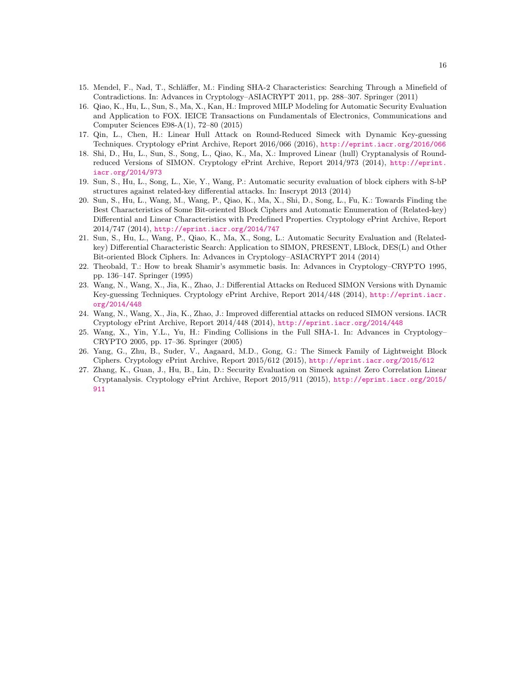- <span id="page-15-5"></span>15. Mendel, F., Nad, T., Schläffer, M.: Finding SHA-2 Characteristics: Searching Through a Minefield of Contradictions. In: Advances in Cryptology–ASIACRYPT 2011, pp. 288–307. Springer (2011)
- <span id="page-15-11"></span>16. Qiao, K., Hu, L., Sun, S., Ma, X., Kan, H.: Improved MILP Modeling for Automatic Security Evaluation and Application to FOX. IEICE Transactions on Fundamentals of Electronics, Communications and Computer Sciences E98-A(1), 72–80 (2015)
- <span id="page-15-10"></span>17. Qin, L., Chen, H.: Linear Hull Attack on Round-Reduced Simeck with Dynamic Key-guessing Techniques. Cryptology ePrint Archive, Report 2016/066 (2016), <http://eprint.iacr.org/2016/066>
- <span id="page-15-0"></span>18. Shi, D., Hu, L., Sun, S., Song, L., Qiao, K., Ma, X.: Improved Linear (hull) Cryptanalysis of Roundreduced Versions of SIMON. Cryptology ePrint Archive, Report 2014/973 (2014), [http://eprint.](http://eprint.iacr.org/2014/973) [iacr.org/2014/973](http://eprint.iacr.org/2014/973)
- <span id="page-15-12"></span>19. Sun, S., Hu, L., Song, L., Xie, Y., Wang, P.: Automatic security evaluation of block ciphers with S-bP structures against related-key differential attacks. In: Inscrypt 2013 (2014)
- <span id="page-15-8"></span>20. Sun, S., Hu, L., Wang, M., Wang, P., Qiao, K., Ma, X., Shi, D., Song, L., Fu, K.: Towards Finding the Best Characteristics of Some Bit-oriented Block Ciphers and Automatic Enumeration of (Related-key) Differential and Linear Characteristics with Predefined Properties. Cryptology ePrint Archive, Report 2014/747 (2014), <http://eprint.iacr.org/2014/747>
- <span id="page-15-3"></span>21. Sun, S., Hu, L., Wang, P., Qiao, K., Ma, X., Song, L.: Automatic Security Evaluation and (Relatedkey) Differential Characteristic Search: Application to SIMON, PRESENT, LBlock, DES(L) and Other Bit-oriented Block Ciphers. In: Advances in Cryptology–ASIACRYPT 2014 (2014)
- <span id="page-15-6"></span>22. Theobald, T.: How to break Shamir's asymmetic basis. In: Advances in Cryptology–CRYPTO 1995, pp. 136–147. Springer (1995)
- <span id="page-15-1"></span>23. Wang, N., Wang, X., Jia, K., Zhao, J.: Differential Attacks on Reduced SIMON Versions with Dynamic Key-guessing Techniques. Cryptology ePrint Archive, Report 2014/448 (2014), [http://eprint.iacr.](http://eprint.iacr.org/2014/448) [org/2014/448](http://eprint.iacr.org/2014/448)
- <span id="page-15-2"></span>24. Wang, N., Wang, X., Jia, K., Zhao, J.: Improved differential attacks on reduced SIMON versions. IACR Cryptology ePrint Archive, Report 2014/448 (2014), [http://eprint.iacr.org/2014/448](http://eprint. iacr. org/2014/448)
- <span id="page-15-7"></span>25. Wang, X., Yin, Y.L., Yu, H.: Finding Collisions in the Full SHA-1. In: Advances in Cryptology– CRYPTO 2005, pp. 17–36. Springer (2005)
- <span id="page-15-4"></span>26. Yang, G., Zhu, B., Suder, V., Aagaard, M.D., Gong, G.: The Simeck Family of Lightweight Block Ciphers. Cryptology ePrint Archive, Report 2015/612 (2015), <http://eprint.iacr.org/2015/612>
- <span id="page-15-9"></span>27. Zhang, K., Guan, J., Hu, B., Lin, D.: Security Evaluation on Simeck against Zero Correlation Linear Cryptanalysis. Cryptology ePrint Archive, Report 2015/911 (2015), [http://eprint.iacr.org/2015/](http://eprint.iacr.org/2015/911) [911](http://eprint.iacr.org/2015/911)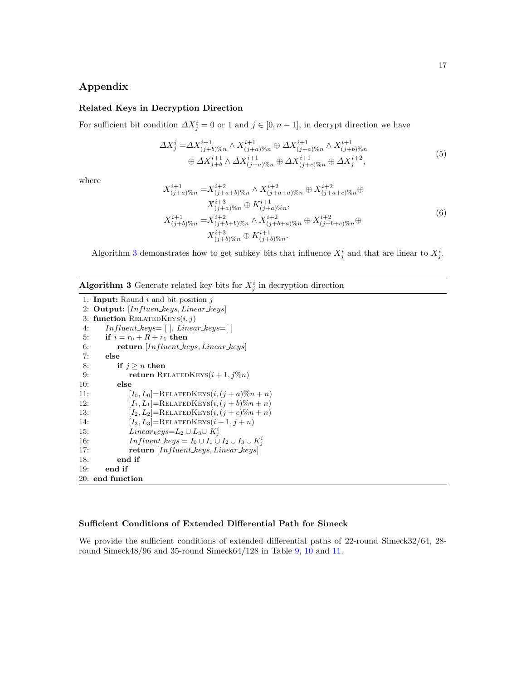## Appendix

#### <span id="page-16-0"></span>Related Keys in Decryption Direction

For sufficient bit condition  $\Delta X_j^i = 0$  or 1 and  $j \in [0, n-1]$ , in decrypt direction we have

$$
\Delta X_j^i = \Delta X_{(j+b)\%n}^{i+1} \wedge X_{(j+a)\%n}^{i+1} \oplus \Delta X_{(j+a)\%n}^{i+1} \wedge X_{(j+b)\%n}^{i+1} \oplus \Delta X_{j+b}^{i+1} \wedge \Delta X_{(j+a)\%n}^{i+1} \oplus \Delta X_{(j+c)\%n}^{i+1} \oplus \Delta X_j^{i+2},
$$
\n(5)

where

$$
X_{(j+a)\%n}^{i+1} = X_{(j+a+b)\%n}^{i+2} \wedge X_{(j+a+a)\%n}^{i+2} \oplus X_{(j+a+c)\%n}^{i+2} \oplus
$$
  
\n
$$
X_{(j+a)\%n}^{i+3} \oplus K_{(j+a)\%n}^{i+1},
$$
  
\n
$$
X_{(j+b)\%n}^{i+1} = X_{(j+b+b)\%n}^{i+2} \wedge X_{(j+b+a)\%n}^{i+2} \oplus X_{(j+b+c)\%n}^{i+2} \oplus
$$
  
\n
$$
X_{(j+b)\%n}^{i+3} \oplus K_{(j+b)\%n}^{i+1}.
$$
  
\n(6)

Algorithm [3](#page-16-1) demonstrates how to get subkey bits that influence  $X_j^i$  and that are linear to  $X_j^i$ .

## <span id="page-16-1"></span>**Algorithm 3** Generate related key bits for  $X_j^i$  in decryption direction

```
1: Input: Round i and bit position j2: Output: [Influen\_keys, Linear\_keys]3: function RELATEDKEYS(i, j)4: Influent\_keys = [ ], Linear\_keys = [ ]5: if i = r_0 + R + r_1 then
 6: return [Influent\_keys, Linear\_keys]7: else
8: if j \geq n then
9: return RELATEDKEYS(i + 1, j\%n)10: else
11: [I_0, L_0] = \text{RELATEDKEYS}(i, (j + a)\%n + n)12: [I_1, L_1] = \text{RELATEDKEYS}(i, (j + b)\%n + n)13: [I_2, L_2] = \text{RELATEDKEYS}(i, (j + c)\%n + n)14: [I_3, L_3] = \text{RELATEDKEYS}(i + 1, j + n)15: Linear_k eys = L_2 \cup L_3 \cup K_j^i16: Influent\_keys = I_0 \cup I_1 \cup I_2 \cup I_3 \cup K_j^i17: return [Influent_keys, Linear_keys]
18: end if
19: end if
20: end function
```
#### Sufficient Conditions of Extended Differential Path for Simeck

We provide the sufficient conditions of extended differential paths of 22-round Simeck32/64, 28round Simeck48/96 and 35-round Simeck64/128 in Table [9,](#page-17-0) [10](#page-17-1) and [11.](#page-17-2)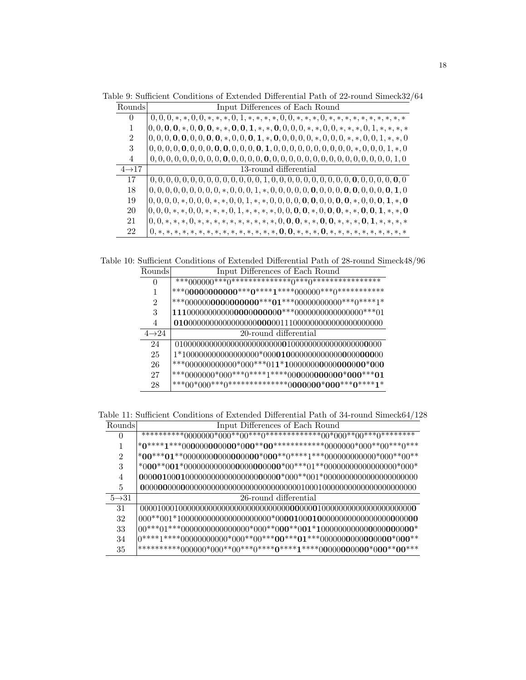<span id="page-17-0"></span>Table 9: Sufficient Conditions of Extended Differential Path of 22-round Simeck32/64

| Rounds             | Input Differences of Each Round                                                                                              |
|--------------------|------------------------------------------------------------------------------------------------------------------------------|
| $\Omega$           |                                                                                                                              |
| 1                  | $(0,0,0,0,*,0,0,0,*,*,0,0,1,*,*,0,0,0,0,*,*,0,0,*,*,*,0,1,*,*,*,*)$                                                          |
| $\overline{2}$     | $0, 0, 0, 0, 0, 0, 0, 0, 0, \star, 0, 0, 0, 1, \star, 0, 0, 0, 0, 0, \star, 0, 0, 0, \star, \star, 0, 0, 1, \star, \star, 0$ |
| 3                  |                                                                                                                              |
| 4                  |                                                                                                                              |
| $4 \rightarrow 17$ | 13-round differential                                                                                                        |
| 17                 |                                                                                                                              |
| 18                 |                                                                                                                              |
| 19                 |                                                                                                                              |
| 20                 | $[0, 0, 0, *, *, 0, 0, *, *, *, 0, 1, *, *, *, *, 0, 0, 0, 0, *, 0, 0, 0, *, *, 0, 0, 1, *, *, 0]$                           |
| 21                 | $0, 0, *, *, *, 0, *, *, *, *, *, *, *, *, *, *, *, 0, 0, 0, 0, *, *, 0, 0, *, *, *, 0, 1, *, *, *, *$                       |
| 22                 | $0,*,*,*,*,*,*,*,*,*,*,*,*,*,*,*,*,0,0,*,*,*,*,*,*,*,*,*,*,*,*,*,$                                                           |

<span id="page-17-1"></span>Table 10: Sufficient Conditions of Extended Differential Path of 28-round Simeck48/96

| Rounds             | Input Differences of Each Round                              |
|--------------------|--------------------------------------------------------------|
| $\theta$           |                                                              |
|                    |                                                              |
| $\overline{2}$     |                                                              |
| 3                  |                                                              |
| 4                  |                                                              |
| $4 \rightarrow 24$ | 20-round differential                                        |
| 24                 |                                                              |
| 25                 | $1*100000000000000000^*000\textbf{010}000000000000000000000$ |
| 26                 |                                                              |
| 27                 |                                                              |
| 28                 |                                                              |

<span id="page-17-2"></span>Table 11: Sufficient Conditions of Extended Differential Path of 34-round Simeck64/128

| Rounds             | Input Differences of Each Round                                                              |
|--------------------|----------------------------------------------------------------------------------------------|
| $\theta$           |                                                                                              |
|                    | $*0****1***000000000000*000**00**************0000000*000**00***0***$                         |
| $\mathfrak{D}$     | $*00^{***}01^{**}00000000000000000^{*}00^{**}0^{****}1^{***}000000000000^{*}000^{**}00^{**}$ |
| 3                  |                                                                                              |
| 4                  | $00000100010000000000000000000000^*000^{**}001^*000000000000000000000000$                    |
| 5                  |                                                                                              |
| $5 \rightarrow 31$ | 26-round differential                                                                        |
| 31                 |                                                                                              |
| 32                 |                                                                                              |
| 33                 | $00^{***}01^{***}0000000000000000^{*}000^{**}000^{**}001^{*}1000000000000000000000^*\\$      |
| 34                 |                                                                                              |
| 35                 |                                                                                              |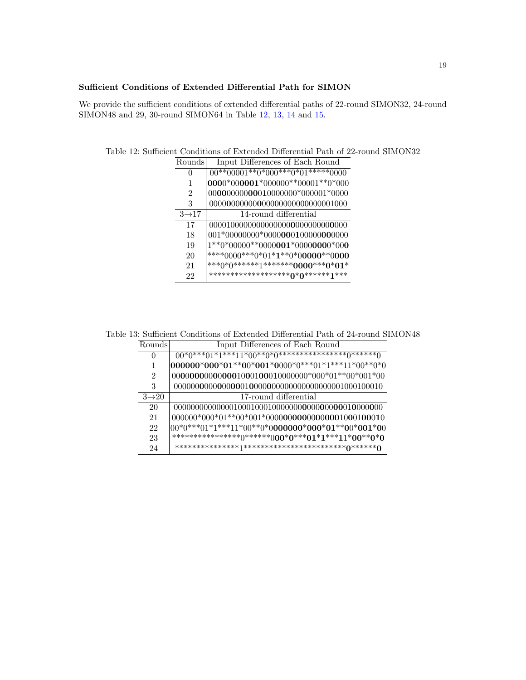### Sufficient Conditions of Extended Differential Path for SIMON

We provide the sufficient conditions of extended differential paths of 22-round SIMON32, 24-round SIMON48 and 29, 30-round SIMON64 in Table [12,](#page-18-0) [13,](#page-18-1) [14](#page-19-0) and [15.](#page-19-1)

| Rounds            | Input Differences of Each Round                |
|-------------------|------------------------------------------------|
| $\mathbf{0}$      | $00^{**}00001^{**}0^*000^{***}0^*01^{***}0000$ |
|                   | $0000*000001*000000**00001**0*000$             |
| 2                 | $00000000000010000000*000001*0000$             |
| 3                 |                                                |
| $3\rightarrow 17$ | 14-round differential                          |
| 17                |                                                |
| 18                | 001*00000000*0000000100000000000               |
| 19                | $1**0*00000**00000001*00000000*000$            |
| 20                | ****0000***0*01*1**0*00000**0000               |
| 21                | ***0*0*******1*********0000****0*01*           |
| 22                | *********************0*0*******1***            |

<span id="page-18-0"></span>Table 12: Sufficient Conditions of Extended Differential Path of 22-round SIMON32

<span id="page-18-1"></span>Table 13: Sufficient Conditions of Extended Differential Path of 24-round SIMON48

| Rounds            | Input Differences of Each Round                           |
|-------------------|-----------------------------------------------------------|
| $\theta$          | $00^{*(0***01*1***11*00**0*0******************0******0)}$ |
|                   | $000000*000*01**00*001*0000*0***01*1***11*00**0*0$        |
| 2                 | $000000000000001000100010000000*000*01**00*001*00$        |
| 3                 |                                                           |
| $3\rightarrow 20$ | 17-round differential                                     |
| 20                |                                                           |
| 21                |                                                           |
| 22                | $00*0***01*1***11*00**0*0000000*000*01**00*001*00$        |
| 23                | *****************0(*******000*0****01*1***11*00**0*0      |
| 24                |                                                           |